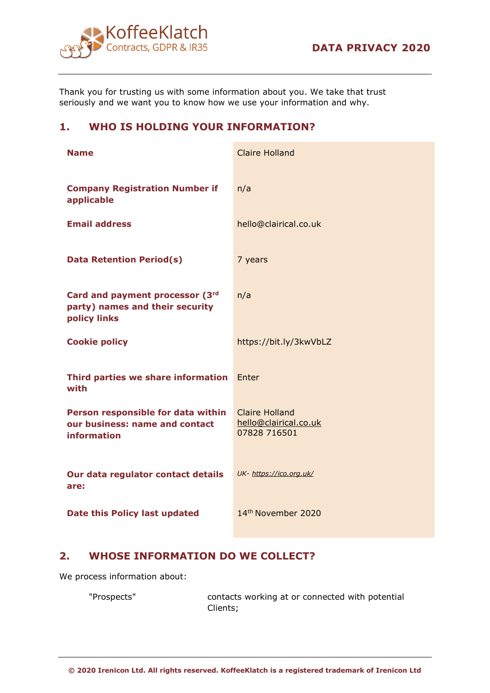

Thank you for trusting us with some information about you. We take that trust seriously and we want you to know how we use your information and why.

# **1. WHO IS HOLDING YOUR INFORMATION?**

| <b>Name</b>                                                                         | <b>Claire Holland</b>                                          |
|-------------------------------------------------------------------------------------|----------------------------------------------------------------|
| <b>Company Registration Number if</b><br>applicable                                 | n/a                                                            |
| <b>Email address</b>                                                                | hello@clairical.co.uk                                          |
| <b>Data Retention Period(s)</b>                                                     | 7 years                                                        |
| Card and payment processor (3rd<br>party) names and their security<br>policy links  | n/a                                                            |
| <b>Cookie policy</b>                                                                | https://bit.ly/3kwVbLZ                                         |
| Third parties we share information<br>with                                          | Enter                                                          |
| Person responsible for data within<br>our business: name and contact<br>information | <b>Claire Holland</b><br>hello@clairical.co.uk<br>07828 716501 |
| Our data regulator contact details<br>are:                                          | UK- https://ico.org.uk/                                        |
| Date this Policy last updated                                                       | 14th November 2020                                             |

# **2. WHOSE INFORMATION DO WE COLLECT?**

We process information about:

"Prospects" contacts working at or connected with potential Clients;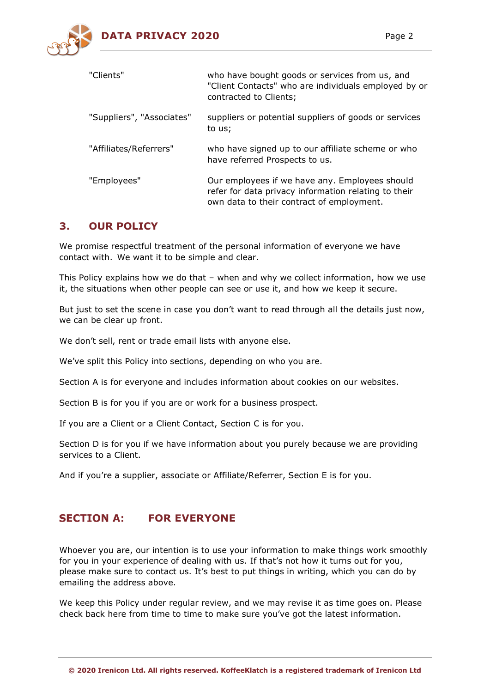

| "Clients"                 | who have bought goods or services from us, and<br>"Client Contacts" who are individuals employed by or<br>contracted to Clients;                    |
|---------------------------|-----------------------------------------------------------------------------------------------------------------------------------------------------|
| "Suppliers", "Associates" | suppliers or potential suppliers of goods or services<br>to us;                                                                                     |
| "Affiliates/Referrers"    | who have signed up to our affiliate scheme or who<br>have referred Prospects to us.                                                                 |
| "Employees"               | Our employees if we have any. Employees should<br>refer for data privacy information relating to their<br>own data to their contract of employment. |

# **3. OUR POLICY**

We promise respectful treatment of the personal information of everyone we have contact with.  We want it to be simple and clear.

This Policy explains how we do that – when and why we collect information, how we use it, the situations when other people can see or use it, and how we keep it secure.

But just to set the scene in case you don't want to read through all the details just now, we can be clear up front.

We don't sell, rent or trade email lists with anyone else.

We've split this Policy into sections, depending on who you are.

Section A is for everyone and includes information about cookies on our websites.

Section B is for you if you are or work for a business prospect.

If you are a Client or a Client Contact, Section C is for you.

Section D is for you if we have information about you purely because we are providing services to a Client.

And if you're a supplier, associate or Affiliate/Referrer, Section E is for you.

#### **SECTION A: FOR EVERYONE**

Whoever you are, our intention is to use your information to make things work smoothly for you in your experience of dealing with us. If that's not how it turns out for you, please make sure to contact us. It's best to put things in writing, which you can do by emailing the address above.

We keep this Policy under regular review, and we may revise it as time goes on. Please check back here from time to time to make sure you've got the latest information.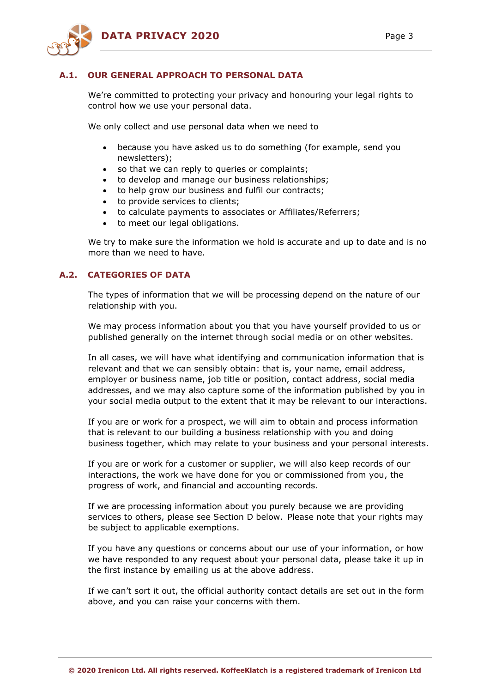

## **A.1. OUR GENERAL APPROACH TO PERSONAL DATA**

We're committed to protecting your privacy and honouring your legal rights to control how we use your personal data.

We only collect and use personal data when we need to

- because you have asked us to do something (for example, send you newsletters);
- so that we can reply to queries or complaints;
- to develop and manage our business relationships;
- to help grow our business and fulfil our contracts;
- to provide services to clients;
- to calculate payments to associates or Affiliates/Referrers;
- to meet our legal obligations.

We try to make sure the information we hold is accurate and up to date and is no more than we need to have.

# **A.2. CATEGORIES OF DATA**

The types of information that we will be processing depend on the nature of our relationship with you.

We may process information about you that you have yourself provided to us or published generally on the internet through social media or on other websites.

In all cases, we will have what identifying and communication information that is relevant and that we can sensibly obtain: that is, your name, email address, employer or business name, job title or position, contact address, social media addresses, and we may also capture some of the information published by you in your social media output to the extent that it may be relevant to our interactions.

If you are or work for a prospect, we will aim to obtain and process information that is relevant to our building a business relationship with you and doing business together, which may relate to your business and your personal interests.

If you are or work for a customer or supplier, we will also keep records of our interactions, the work we have done for you or commissioned from you, the progress of work, and financial and accounting records.

If we are processing information about you purely because we are providing services to others, please see Section D below.  Please note that your rights may be subject to applicable exemptions.

If you have any questions or concerns about our use of your information, or how we have responded to any request about your personal data, please take it up in the first instance by emailing us at the above address.

If we can't sort it out, the official authority contact details are set out in the form above, and you can raise your concerns with them.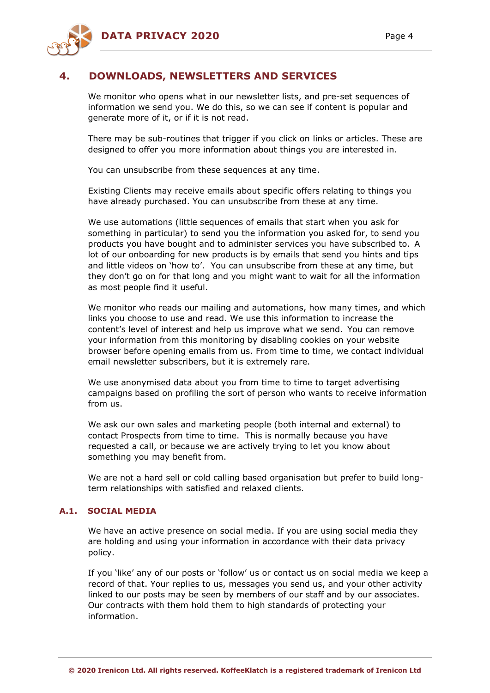

# **4. DOWNLOADS, NEWSLETTERS AND SERVICES**

We monitor who opens what in our newsletter lists, and pre-set sequences of information we send you. We do this, so we can see if content is popular and generate more of it, or if it is not read.

There may be sub-routines that trigger if you click on links or articles. These are designed to offer you more information about things you are interested in.

You can unsubscribe from these sequences at any time.

Existing Clients may receive emails about specific offers relating to things you have already purchased. You can unsubscribe from these at any time.

We use automations (little sequences of emails that start when you ask for something in particular) to send you the information you asked for, to send you products you have bought and to administer services you have subscribed to.  A lot of our onboarding for new products is by emails that send you hints and tips and little videos on 'how to'.   You can unsubscribe from these at any time, but they don't go on for that long and you might want to wait for all the information as most people find it useful.

We monitor who reads our mailing and automations, how many times, and which links you choose to use and read. We use this information to increase the content's level of interest and help us improve what we send.  You can remove your information from this monitoring by disabling cookies on your website browser before opening emails from us. From time to time, we contact individual email newsletter subscribers, but it is extremely rare.

We use anonymised data about you from time to time to target advertising campaigns based on profiling the sort of person who wants to receive information from us.

We ask our own sales and marketing people (both internal and external) to contact Prospects from time to time.   This is normally because you have requested a call, or because we are actively trying to let you know about something you may benefit from. 

We are not a hard sell or cold calling based organisation but prefer to build longterm relationships with satisfied and relaxed clients.

## **A.1. SOCIAL MEDIA**

We have an active presence on social media. If you are using social media they are holding and using your information in accordance with their data privacy policy.

If you 'like' any of our posts or 'follow' us or contact us on social media we keep a record of that. Your replies to us, messages you send us, and your other activity linked to our posts may be seen by members of our staff and by our associates.  Our contracts with them hold them to high standards of protecting your information.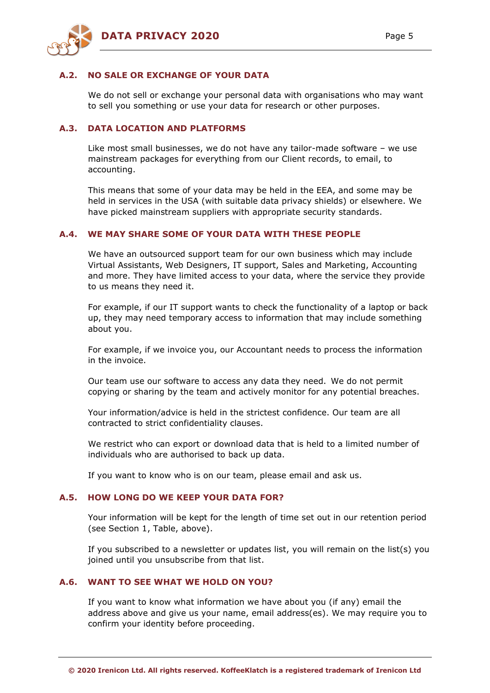

### **A.2. NO SALE OR EXCHANGE OF YOUR DATA**

We do not sell or exchange your personal data with organisations who may want to sell you something or use your data for research or other purposes.

### **A.3. DATA LOCATION AND PLATFORMS**

Like most small businesses, we do not have any tailor-made software – we use mainstream packages for everything from our Client records, to email, to accounting.

This means that some of your data may be held in the EEA, and some may be held in services in the USA (with suitable data privacy shields) or elsewhere. We have picked mainstream suppliers with appropriate security standards.

### **A.4. WE MAY SHARE SOME OF YOUR DATA WITH THESE PEOPLE**

We have an outsourced support team for our own business which may include Virtual Assistants, Web Designers, IT support, Sales and Marketing, Accounting and more. They have limited access to your data, where the service they provide to us means they need it.

For example, if our IT support wants to check the functionality of a laptop or back up, they may need temporary access to information that may include something about you.

For example, if we invoice you, our Accountant needs to process the information in the invoice.

Our team use our software to access any data they need.  We do not permit copying or sharing by the team and actively monitor for any potential breaches.

Your information/advice is held in the strictest confidence. Our team are all contracted to strict confidentiality clauses.

We restrict who can export or download data that is held to a limited number of individuals who are authorised to back up data.

If you want to know who is on our team, please email and ask us.

### **A.5. HOW LONG DO WE KEEP YOUR DATA FOR?**

Your information will be kept for the length of time set out in our retention period (see Section 1, Table, above).

If you subscribed to a newsletter or updates list, you will remain on the list(s) you joined until you unsubscribe from that list.

# **A.6. WANT TO SEE WHAT WE HOLD ON YOU?**

If you want to know what information we have about you (if any) email the address above and give us your name, email address(es). We may require you to confirm your identity before proceeding.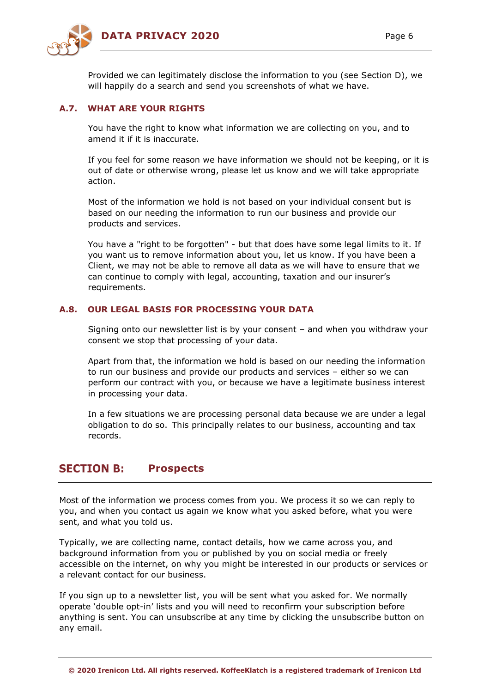

Provided we can legitimately disclose the information to you (see Section D), we will happily do a search and send you screenshots of what we have.

# **A.7. WHAT ARE YOUR RIGHTS**

You have the right to know what information we are collecting on you, and to amend it if it is inaccurate.

If you feel for some reason we have information we should not be keeping, or it is out of date or otherwise wrong, please let us know and we will take appropriate action.

Most of the information we hold is not based on your individual consent but is based on our needing the information to run our business and provide our products and services.

You have a "right to be forgotten" - but that does have some legal limits to it. If you want us to remove information about you, let us know. If you have been a Client, we may not be able to remove all data as we will have to ensure that we can continue to comply with legal, accounting, taxation and our insurer's requirements.

## **A.8. OUR LEGAL BASIS FOR PROCESSING YOUR DATA**

Signing onto our newsletter list is by your consent – and when you withdraw your consent we stop that processing of your data.

Apart from that, the information we hold is based on our needing the information to run our business and provide our products and services – either so we can perform our contract with you, or because we have a legitimate business interest in processing your data.

In a few situations we are processing personal data because we are under a legal obligation to do so.  This principally relates to our business, accounting and tax records.

#### **SECTION B: Prospects**

Most of the information we process comes from you. We process it so we can reply to you, and when you contact us again we know what you asked before, what you were sent, and what you told us.

Typically, we are collecting name, contact details, how we came across you, and background information from you or published by you on social media or freely accessible on the internet, on why you might be interested in our products or services or a relevant contact for our business.

If you sign up to a newsletter list, you will be sent what you asked for. We normally operate 'double opt-in' lists and you will need to reconfirm your subscription before anything is sent. You can unsubscribe at any time by clicking the unsubscribe button on any email.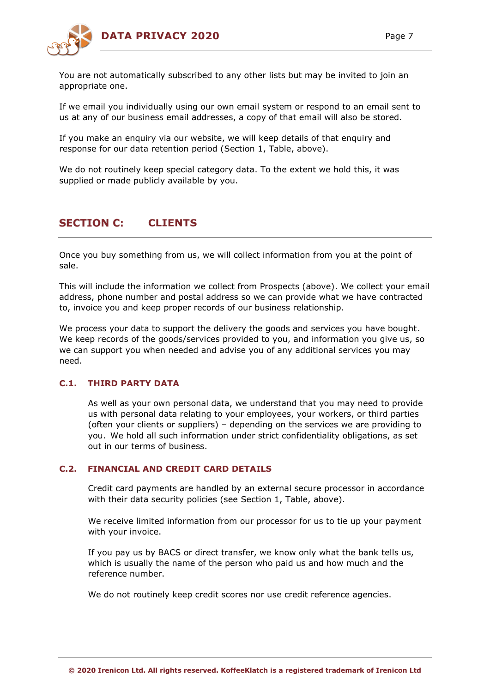

You are not automatically subscribed to any other lists but may be invited to join an appropriate one.

If we email you individually using our own email system or respond to an email sent to us at any of our business email addresses, a copy of that email will also be stored.

If you make an enquiry via our website, we will keep details of that enquiry and response for our data retention period (Section 1, Table, above).

We do not routinely keep special category data. To the extent we hold this, it was supplied or made publicly available by you.

#### **SECTION C: CLIENTS**

Once you buy something from us, we will collect information from you at the point of sale.

This will include the information we collect from Prospects (above). We collect your email address, phone number and postal address so we can provide what we have contracted to, invoice you and keep proper records of our business relationship.

We process your data to support the delivery the goods and services you have bought. We keep records of the goods/services provided to you, and information you give us, so we can support you when needed and advise you of any additional services you may need.

# **C.1. THIRD PARTY DATA**

As well as your own personal data, we understand that you may need to provide us with personal data relating to your employees, your workers, or third parties (often your clients or suppliers) – depending on the services we are providing to you.  We hold all such information under strict confidentiality obligations, as set out in our terms of business.

### **C.2. FINANCIAL AND CREDIT CARD DETAILS**

Credit card payments are handled by an external secure processor in accordance with their data security policies (see Section 1, Table, above).

We receive limited information from our processor for us to tie up your payment with your invoice.

If you pay us by BACS or direct transfer, we know only what the bank tells us, which is usually the name of the person who paid us and how much and the reference number.

We do not routinely keep credit scores nor use credit reference agencies.